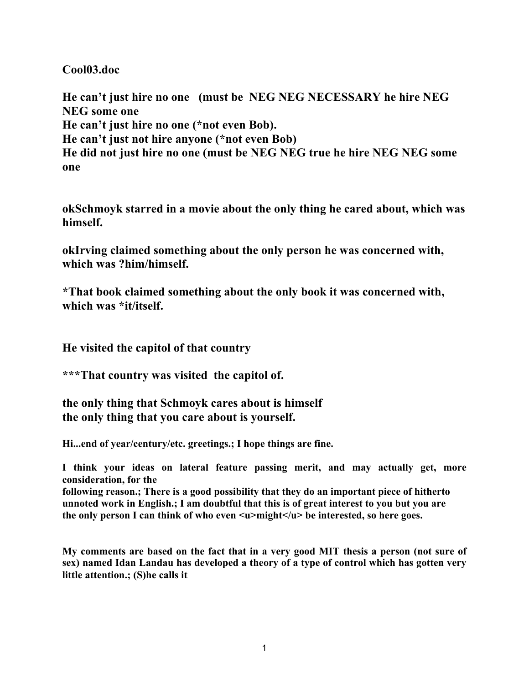**Cool03.doc**

**He can't just hire no one (must be NEG NEG NECESSARY he hire NEG NEG some one He can't just hire no one (\*not even Bob). He can't just not hire anyone (\*not even Bob) He did not just hire no one (must be NEG NEG true he hire NEG NEG some one**

**okSchmoyk starred in a movie about the only thing he cared about, which was himself.**

**okIrving claimed something about the only person he was concerned with, which was ?him/himself.**

**\*That book claimed something about the only book it was concerned with, which was \*it/itself.**

**He visited the capitol of that country**

**\*\*\*That country was visited the capitol of.**

**the only thing that Schmoyk cares about is himself the only thing that you care about is yourself.**

**Hi...end of year/century/etc. greetings.; I hope things are fine.**

**I think your ideas on lateral feature passing merit, and may actually get, more consideration, for the**

**following reason.; There is a good possibility that they do an important piece of hitherto unnoted work in English.; I am doubtful that this is of great interest to you but you are** the only person I can think of who even  $\langle u \rangle$  might $\langle u \rangle$  be interested, so here goes.

**My comments are based on the fact that in a very good MIT thesis a person (not sure of sex) named Idan Landau has developed a theory of a type of control which has gotten very little attention.; (S)he calls it**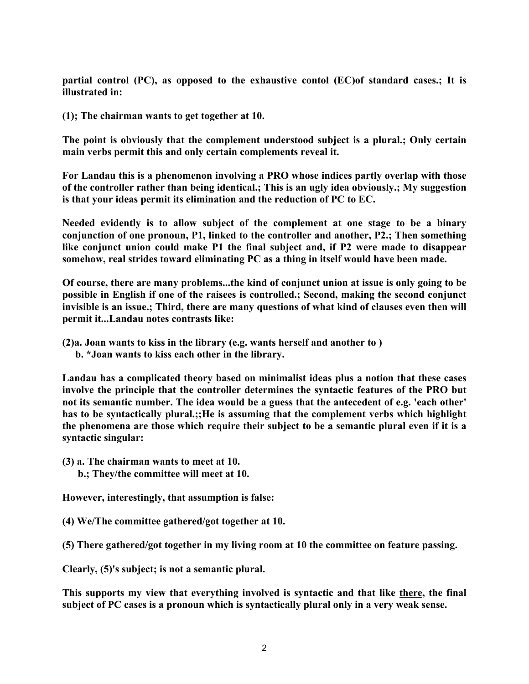**partial control (PC), as opposed to the exhaustive contol (EC)of standard cases.; It is illustrated in:**

**(1); The chairman wants to get together at 10.**

**The point is obviously that the complement understood subject is a plural.; Only certain main verbs permit this and only certain complements reveal it.**

**For Landau this is a phenomenon involving a PRO whose indices partly overlap with those of the controller rather than being identical.; This is an ugly idea obviously.; My suggestion is that your ideas permit its elimination and the reduction of PC to EC.**

**Needed evidently is to allow subject of the complement at one stage to be a binary conjunction of one pronoun, P1, linked to the controller and another, P2.; Then something like conjunct union could make P1 the final subject and, if P2 were made to disappear somehow, real strides toward eliminating PC as a thing in itself would have been made.**

**Of course, there are many problems...the kind of conjunct union at issue is only going to be possible in English if one of the raisees is controlled.; Second, making the second conjunct invisible is an issue.; Third, there are many questions of what kind of clauses even then will permit it...Landau notes contrasts like:**

**(2)a. Joan wants to kiss in the library (e.g. wants herself and another to )**

 **b. \*Joan wants to kiss each other in the library.**

**Landau has a complicated theory based on minimalist ideas plus a notion that these cases involve the principle that the controller determines the syntactic features of the PRO but not its semantic number. The idea would be a guess that the antecedent of e.g. 'each other' has to be syntactically plural.;;He is assuming that the complement verbs which highlight the phenomena are those which require their subject to be a semantic plural even if it is a syntactic singular:**

**(3) a. The chairman wants to meet at 10. b.; They/the committee will meet at 10.**

**However, interestingly, that assumption is false:**

**(4) We/The committee gathered/got together at 10.**

**(5) There gathered/got together in my living room at 10 the committee on feature passing.**

**Clearly, (5)'s subject; is not a semantic plural.**

**This supports my view that everything involved is syntactic and that like there, the final subject of PC cases is a pronoun which is syntactically plural only in a very weak sense.**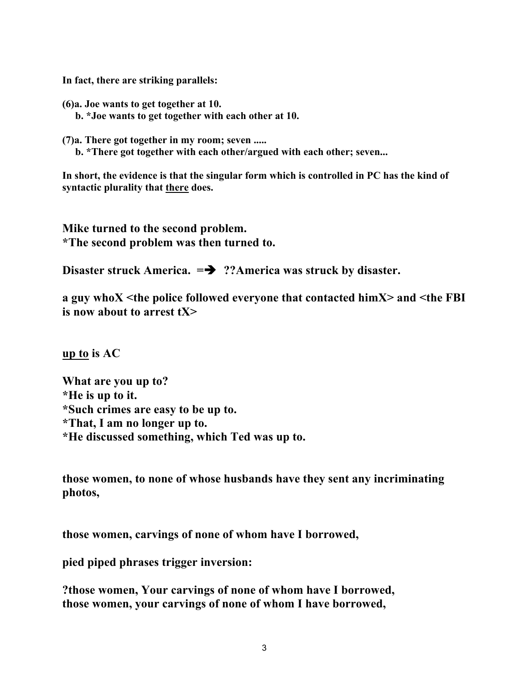**In fact, there are striking parallels:**

**(6)a. Joe wants to get together at 10. b. \*Joe wants to get together with each other at 10.**

**(7)a. There got together in my room; seven .....**

 **b. \*There got together with each other/argued with each other; seven...**

**In short, the evidence is that the singular form which is controlled in PC has the kind of syntactic plurality that there does.**

**Mike turned to the second problem. \*The second problem was then turned to.**

Disaster struck America.  $\Rightarrow$  ??America was struck by disaster.

**a guy whoX <the police followed everyone that contacted himX> and <the FBI is now about to arrest tX>**

**up to is AC**

**What are you up to? \*He is up to it. \*Such crimes are easy to be up to. \*That, I am no longer up to. \*He discussed something, which Ted was up to.**

**those women, to none of whose husbands have they sent any incriminating photos,**

**those women, carvings of none of whom have I borrowed,**

**pied piped phrases trigger inversion:**

**?those women, Your carvings of none of whom have I borrowed, those women, your carvings of none of whom I have borrowed,**